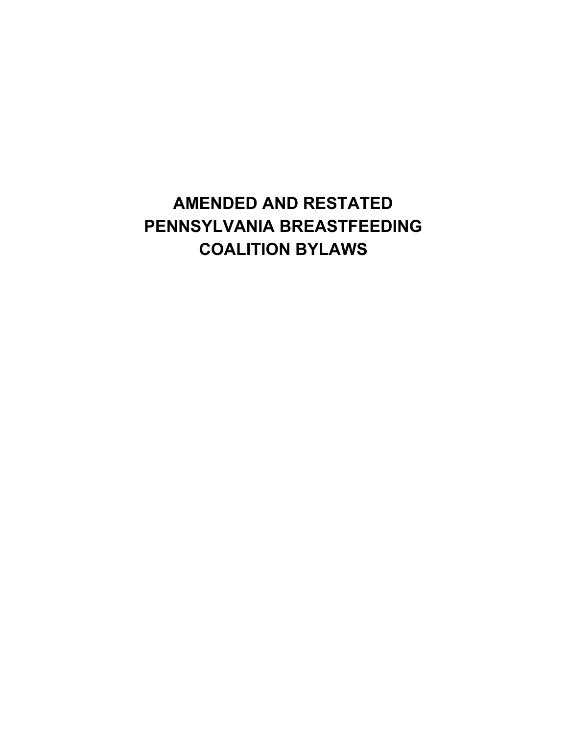# **AMENDED AND RESTATED PENNSYLVANIA BREASTFEEDING COALITION BYLAWS**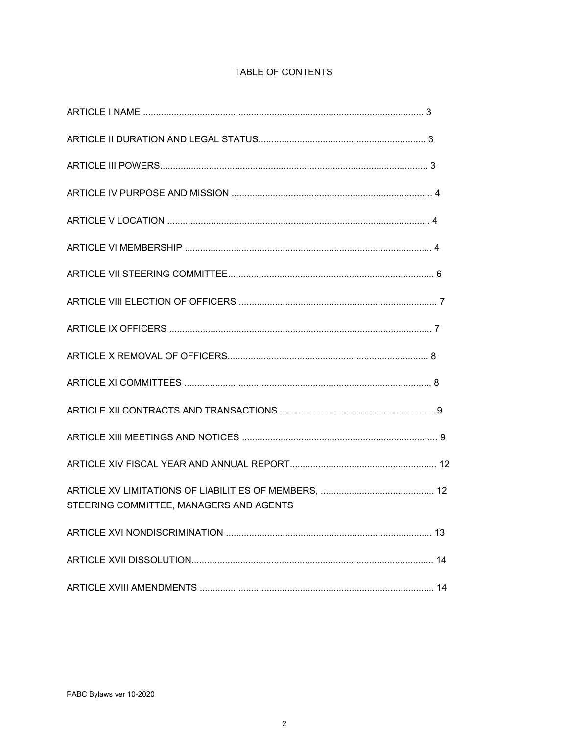| STEERING COMMITTEE, MANAGERS AND AGENTS |  |
|-----------------------------------------|--|
|                                         |  |
|                                         |  |
|                                         |  |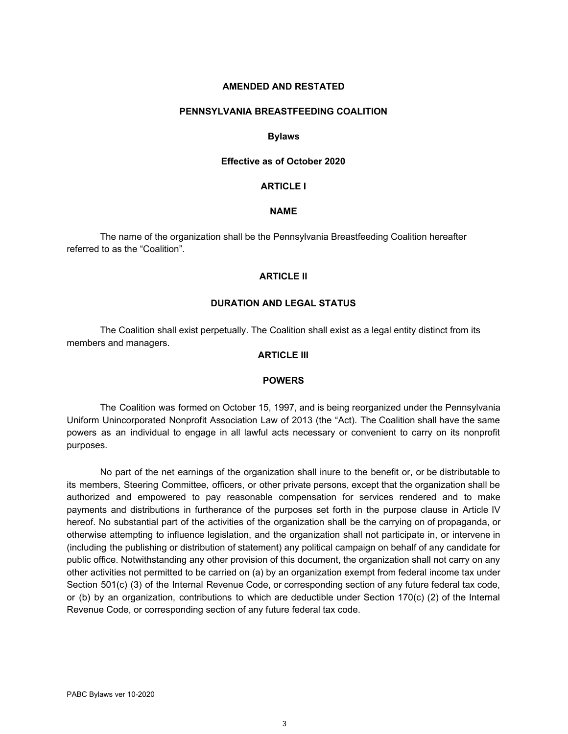#### **AMENDED AND RESTATED**

#### **PENNSYLVANIA BREASTFEEDING COALITION**

#### **Bylaws**

#### **Effective as of October 2020**

#### **ARTICLE I**

#### **NAME**

The name of the organization shall be the Pennsylvania Breastfeeding Coalition hereafter referred to as the "Coalition".

## **ARTICLE II**

## **DURATION AND LEGAL STATUS**

The Coalition shall exist perpetually. The Coalition shall exist as a legal entity distinct from its members and managers.

## **ARTICLE III**

#### **POWERS**

The Coalition was formed on October 15, 1997, and is being reorganized under the Pennsylvania Uniform Unincorporated Nonprofit Association Law of 2013 (the "Act). The Coalition shall have the same powers as an individual to engage in all lawful acts necessary or convenient to carry on its nonprofit purposes.

No part of the net earnings of the organization shall inure to the benefit or, or be distributable to its members, Steering Committee, officers, or other private persons, except that the organization shall be authorized and empowered to pay reasonable compensation for services rendered and to make payments and distributions in furtherance of the purposes set forth in the purpose clause in Article IV hereof. No substantial part of the activities of the organization shall be the carrying on of propaganda, or otherwise attempting to influence legislation, and the organization shall not participate in, or intervene in (including the publishing or distribution of statement) any political campaign on behalf of any candidate for public office. Notwithstanding any other provision of this document, the organization shall not carry on any other activities not permitted to be carried on (a) by an organization exempt from federal income tax under Section 501(c) (3) of the Internal Revenue Code, or corresponding section of any future federal tax code, or (b) by an organization, contributions to which are deductible under Section 170(c) (2) of the Internal Revenue Code, or corresponding section of any future federal tax code.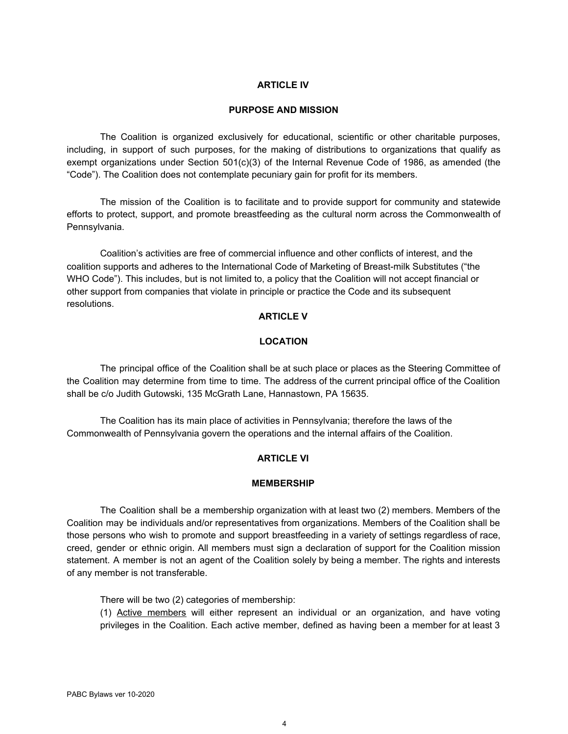## **ARTICLE IV**

## **PURPOSE AND MISSION**

The Coalition is organized exclusively for educational, scientific or other charitable purposes, including, in support of such purposes, for the making of distributions to organizations that qualify as exempt organizations under Section 501(c)(3) of the Internal Revenue Code of 1986, as amended (the "Code"). The Coalition does not contemplate pecuniary gain for profit for its members.

The mission of the Coalition is to facilitate and to provide support for community and statewide efforts to protect, support, and promote breastfeeding as the cultural norm across the Commonwealth of Pennsylvania.

Coalition's activities are free of commercial influence and other conflicts of interest, and the coalition supports and adheres to the International Code of Marketing of Breast-milk Substitutes ("the WHO Code"). This includes, but is not limited to, a policy that the Coalition will not accept financial or other support from companies that violate in principle or practice the Code and its subsequent resolutions.

# **ARTICLE V**

# **LOCATION**

The principal office of the Coalition shall be at such place or places as the Steering Committee of the Coalition may determine from time to time. The address of the current principal office of the Coalition shall be c/o Judith Gutowski, 135 McGrath Lane, Hannastown, PA 15635.

The Coalition has its main place of activities in Pennsylvania; therefore the laws of the Commonwealth of Pennsylvania govern the operations and the internal affairs of the Coalition.

## **ARTICLE VI**

#### **MEMBERSHIP**

The Coalition shall be a membership organization with at least two (2) members. Members of the Coalition may be individuals and/or representatives from organizations. Members of the Coalition shall be those persons who wish to promote and support breastfeeding in a variety of settings regardless of race, creed, gender or ethnic origin. All members must sign a declaration of support for the Coalition mission statement. A member is not an agent of the Coalition solely by being a member. The rights and interests of any member is not transferable.

There will be two (2) categories of membership:

(1) Active members will either represent an individual or an organization, and have voting privileges in the Coalition. Each active member, defined as having been a member for at least 3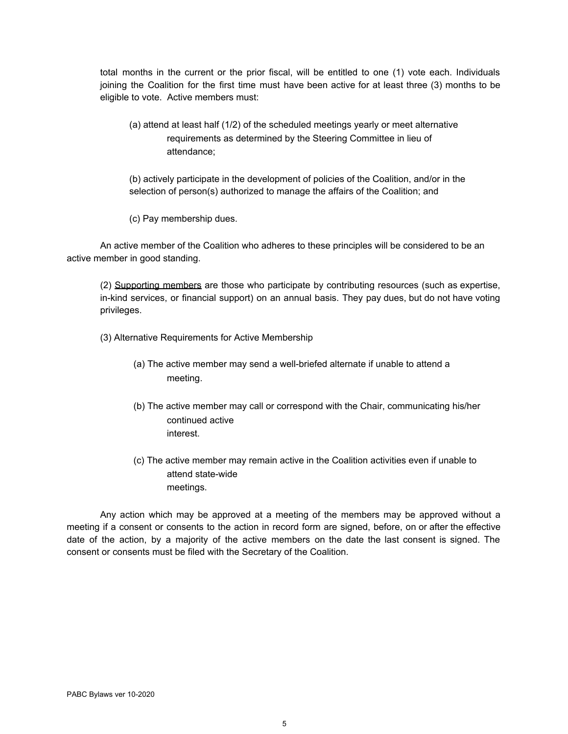total months in the current or the prior fiscal, will be entitled to one (1) vote each. Individuals joining the Coalition for the first time must have been active for at least three (3) months to be eligible to vote. Active members must:

(a) attend at least half (1/2) of the scheduled meetings yearly or meet alternative requirements as determined by the Steering Committee in lieu of attendance;

(b) actively participate in the development of policies of the Coalition, and/or in the selection of person(s) authorized to manage the affairs of the Coalition; and

(c) Pay membership dues.

An active member of the Coalition who adheres to these principles will be considered to be an active member in good standing.

(2) Supporting members are those who participate by contributing resources (such as expertise, in-kind services, or financial support) on an annual basis. They pay dues, but do not have voting privileges.

(3) Alternative Requirements for Active Membership

- (a) The active member may send a well-briefed alternate if unable to attend a meeting.
- (b) The active member may call or correspond with the Chair, communicating his/her continued active interest.
- (c) The active member may remain active in the Coalition activities even if unable to attend state-wide meetings.

Any action which may be approved at a meeting of the members may be approved without a meeting if a consent or consents to the action in record form are signed, before, on or after the effective date of the action, by a majority of the active members on the date the last consent is signed. The consent or consents must be filed with the Secretary of the Coalition.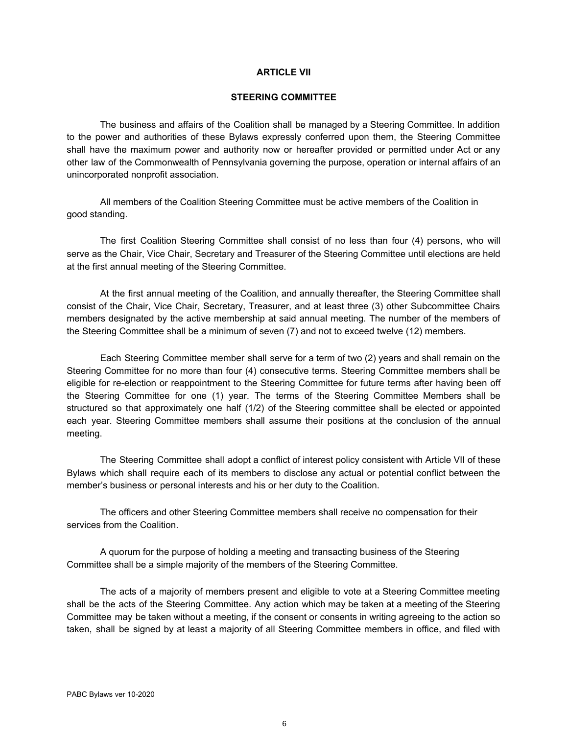## **ARTICLE VII**

#### **STEERING COMMITTEE**

The business and affairs of the Coalition shall be managed by a Steering Committee. In addition to the power and authorities of these Bylaws expressly conferred upon them, the Steering Committee shall have the maximum power and authority now or hereafter provided or permitted under Act or any other law of the Commonwealth of Pennsylvania governing the purpose, operation or internal affairs of an unincorporated nonprofit association.

All members of the Coalition Steering Committee must be active members of the Coalition in good standing.

The first Coalition Steering Committee shall consist of no less than four (4) persons, who will serve as the Chair, Vice Chair, Secretary and Treasurer of the Steering Committee until elections are held at the first annual meeting of the Steering Committee.

At the first annual meeting of the Coalition, and annually thereafter, the Steering Committee shall consist of the Chair, Vice Chair, Secretary, Treasurer, and at least three (3) other Subcommittee Chairs members designated by the active membership at said annual meeting. The number of the members of the Steering Committee shall be a minimum of seven (7) and not to exceed twelve (12) members.

Each Steering Committee member shall serve for a term of two (2) years and shall remain on the Steering Committee for no more than four (4) consecutive terms. Steering Committee members shall be eligible for re-election or reappointment to the Steering Committee for future terms after having been off the Steering Committee for one (1) year. The terms of the Steering Committee Members shall be structured so that approximately one half (1/2) of the Steering committee shall be elected or appointed each year. Steering Committee members shall assume their positions at the conclusion of the annual meeting.

The Steering Committee shall adopt a conflict of interest policy consistent with Article VII of these Bylaws which shall require each of its members to disclose any actual or potential conflict between the member's business or personal interests and his or her duty to the Coalition.

The officers and other Steering Committee members shall receive no compensation for their services from the Coalition.

A quorum for the purpose of holding a meeting and transacting business of the Steering Committee shall be a simple majority of the members of the Steering Committee.

The acts of a majority of members present and eligible to vote at a Steering Committee meeting shall be the acts of the Steering Committee. Any action which may be taken at a meeting of the Steering Committee may be taken without a meeting, if the consent or consents in writing agreeing to the action so taken, shall be signed by at least a majority of all Steering Committee members in office, and filed with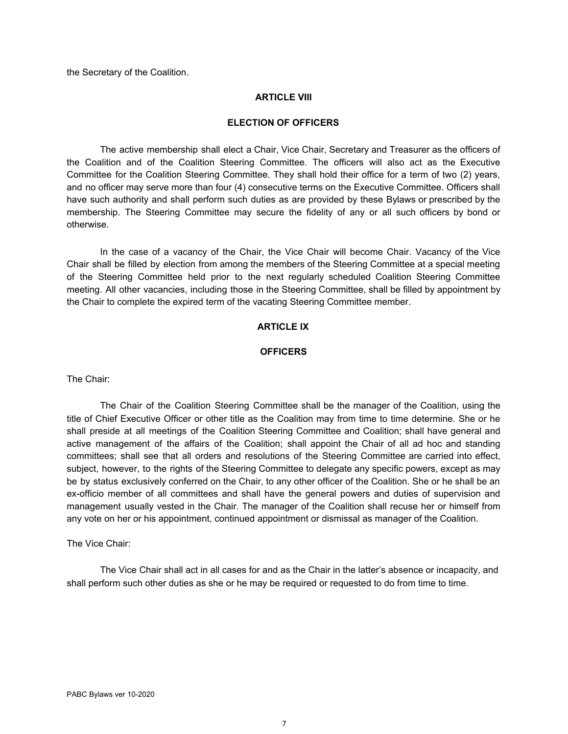the Secretary of the Coalition.

## **ARTICLE VIII**

## **ELECTION OF OFFICERS**

The active membership shall elect a Chair, Vice Chair, Secretary and Treasurer as the officers of the Coalition and of the Coalition Steering Committee. The officers will also act as the Executive Committee for the Coalition Steering Committee. They shall hold their office for a term of two (2) years, and no officer may serve more than four (4) consecutive terms on the Executive Committee. Officers shall have such authority and shall perform such duties as are provided by these Bylaws or prescribed by the membership. The Steering Committee may secure the fidelity of any or all such officers by bond or otherwise.

In the case of a vacancy of the Chair, the Vice Chair will become Chair. Vacancy of the Vice Chair shall be filled by election from among the members of the Steering Committee at a special meeting of the Steering Committee held prior to the next regularly scheduled Coalition Steering Committee meeting. All other vacancies, including those in the Steering Committee, shall be filled by appointment by the Chair to complete the expired term of the vacating Steering Committee member.

# **ARTICLE IX**

## **OFFICERS**

The Chair:

The Chair of the Coalition Steering Committee shall be the manager of the Coalition, using the title of Chief Executive Officer or other title as the Coalition may from time to time determine. She or he shall preside at all meetings of the Coalition Steering Committee and Coalition; shall have general and active management of the affairs of the Coalition; shall appoint the Chair of all ad hoc and standing committees; shall see that all orders and resolutions of the Steering Committee are carried into effect, subject, however, to the rights of the Steering Committee to delegate any specific powers, except as may be by status exclusively conferred on the Chair, to any other officer of the Coalition. She or he shall be an ex-officio member of all committees and shall have the general powers and duties of supervision and management usually vested in the Chair. The manager of the Coalition shall recuse her or himself from any vote on her or his appointment, continued appointment or dismissal as manager of the Coalition.

The Vice Chair:

The Vice Chair shall act in all cases for and as the Chair in the latter's absence or incapacity, and shall perform such other duties as she or he may be required or requested to do from time to time.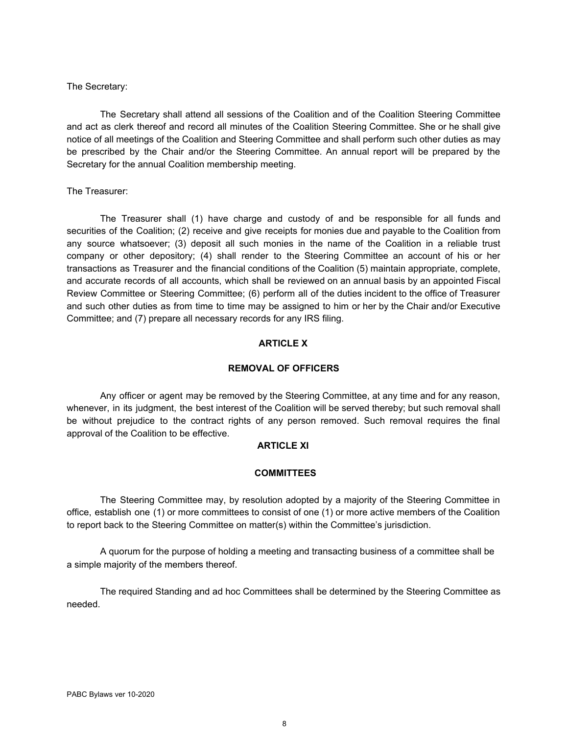## The Secretary:

The Secretary shall attend all sessions of the Coalition and of the Coalition Steering Committee and act as clerk thereof and record all minutes of the Coalition Steering Committee. She or he shall give notice of all meetings of the Coalition and Steering Committee and shall perform such other duties as may be prescribed by the Chair and/or the Steering Committee. An annual report will be prepared by the Secretary for the annual Coalition membership meeting.

#### The Treasurer:

The Treasurer shall (1) have charge and custody of and be responsible for all funds and securities of the Coalition; (2) receive and give receipts for monies due and payable to the Coalition from any source whatsoever; (3) deposit all such monies in the name of the Coalition in a reliable trust company or other depository; (4) shall render to the Steering Committee an account of his or her transactions as Treasurer and the financial conditions of the Coalition (5) maintain appropriate, complete, and accurate records of all accounts, which shall be reviewed on an annual basis by an appointed Fiscal Review Committee or Steering Committee; (6) perform all of the duties incident to the office of Treasurer and such other duties as from time to time may be assigned to him or her by the Chair and/or Executive Committee; and (7) prepare all necessary records for any IRS filing.

# **ARTICLE X**

## **REMOVAL OF OFFICERS**

Any officer or agent may be removed by the Steering Committee, at any time and for any reason, whenever, in its judgment, the best interest of the Coalition will be served thereby; but such removal shall be without prejudice to the contract rights of any person removed. Such removal requires the final approval of the Coalition to be effective.

## **ARTICLE XI**

#### **COMMITTEES**

The Steering Committee may, by resolution adopted by a majority of the Steering Committee in office, establish one (1) or more committees to consist of one (1) or more active members of the Coalition to report back to the Steering Committee on matter(s) within the Committee's jurisdiction.

A quorum for the purpose of holding a meeting and transacting business of a committee shall be a simple majority of the members thereof.

The required Standing and ad hoc Committees shall be determined by the Steering Committee as needed.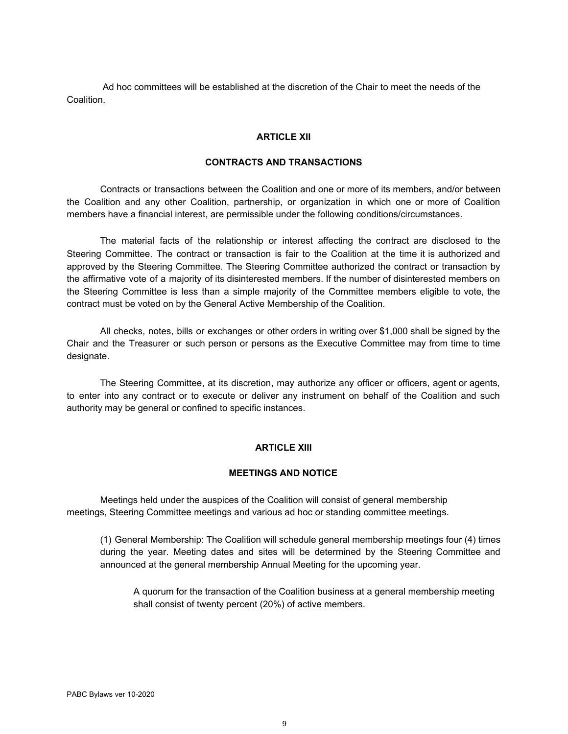Ad hoc committees will be established at the discretion of the Chair to meet the needs of the Coalition.

## **ARTICLE XII**

#### **CONTRACTS AND TRANSACTIONS**

Contracts or transactions between the Coalition and one or more of its members, and/or between the Coalition and any other Coalition, partnership, or organization in which one or more of Coalition members have a financial interest, are permissible under the following conditions/circumstances.

The material facts of the relationship or interest affecting the contract are disclosed to the Steering Committee. The contract or transaction is fair to the Coalition at the time it is authorized and approved by the Steering Committee. The Steering Committee authorized the contract or transaction by the affirmative vote of a majority of its disinterested members. If the number of disinterested members on the Steering Committee is less than a simple majority of the Committee members eligible to vote, the contract must be voted on by the General Active Membership of the Coalition.

All checks, notes, bills or exchanges or other orders in writing over \$1,000 shall be signed by the Chair and the Treasurer or such person or persons as the Executive Committee may from time to time designate.

The Steering Committee, at its discretion, may authorize any officer or officers, agent or agents, to enter into any contract or to execute or deliver any instrument on behalf of the Coalition and such authority may be general or confined to specific instances.

#### **ARTICLE XIII**

#### **MEETINGS AND NOTICE**

Meetings held under the auspices of the Coalition will consist of general membership meetings, Steering Committee meetings and various ad hoc or standing committee meetings.

(1) General Membership: The Coalition will schedule general membership meetings four (4) times during the year. Meeting dates and sites will be determined by the Steering Committee and announced at the general membership Annual Meeting for the upcoming year.

A quorum for the transaction of the Coalition business at a general membership meeting shall consist of twenty percent (20%) of active members.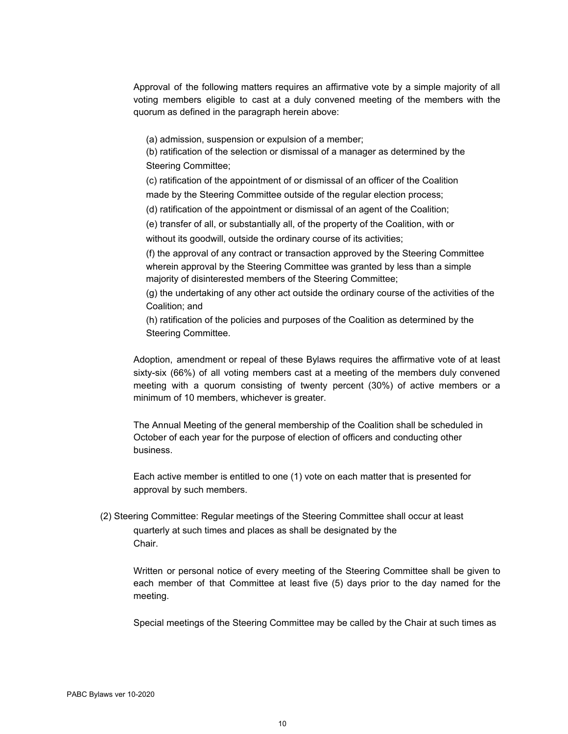Approval of the following matters requires an affirmative vote by a simple majority of all voting members eligible to cast at a duly convened meeting of the members with the quorum as defined in the paragraph herein above:

(a) admission, suspension or expulsion of a member;

(b) ratification of the selection or dismissal of a manager as determined by the Steering Committee;

(c) ratification of the appointment of or dismissal of an officer of the Coalition made by the Steering Committee outside of the regular election process;

(d) ratification of the appointment or dismissal of an agent of the Coalition;

(e) transfer of all, or substantially all, of the property of the Coalition, with or without its goodwill, outside the ordinary course of its activities;

(f) the approval of any contract or transaction approved by the Steering Committee wherein approval by the Steering Committee was granted by less than a simple majority of disinterested members of the Steering Committee;

(g) the undertaking of any other act outside the ordinary course of the activities of the Coalition; and

(h) ratification of the policies and purposes of the Coalition as determined by the Steering Committee.

Adoption, amendment or repeal of these Bylaws requires the affirmative vote of at least sixty-six (66%) of all voting members cast at a meeting of the members duly convened meeting with a quorum consisting of twenty percent (30%) of active members or a minimum of 10 members, whichever is greater.

The Annual Meeting of the general membership of the Coalition shall be scheduled in October of each year for the purpose of election of officers and conducting other business.

Each active member is entitled to one (1) vote on each matter that is presented for approval by such members.

(2) Steering Committee: Regular meetings of the Steering Committee shall occur at least quarterly at such times and places as shall be designated by the Chair.

Written or personal notice of every meeting of the Steering Committee shall be given to each member of that Committee at least five (5) days prior to the day named for the meeting.

Special meetings of the Steering Committee may be called by the Chair at such times as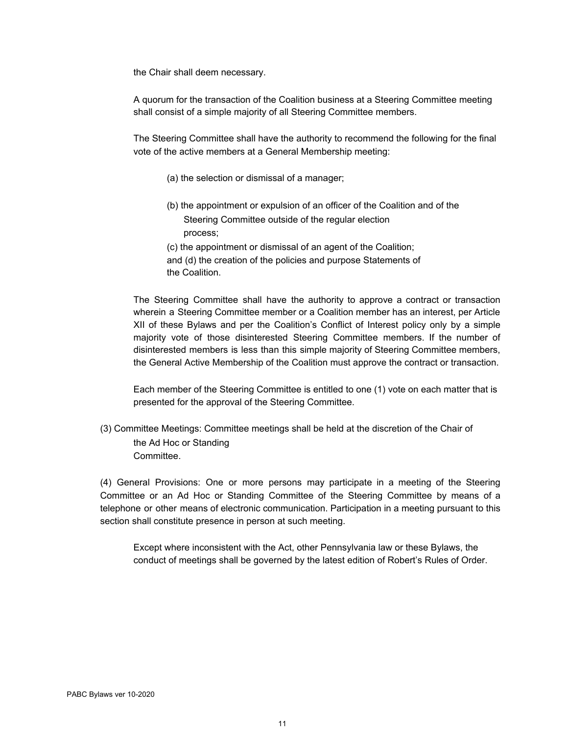the Chair shall deem necessary.

A quorum for the transaction of the Coalition business at a Steering Committee meeting shall consist of a simple majority of all Steering Committee members.

The Steering Committee shall have the authority to recommend the following for the final vote of the active members at a General Membership meeting:

- (a) the selection or dismissal of a manager;
- (b) the appointment or expulsion of an officer of the Coalition and of the Steering Committee outside of the regular election process;

(c) the appointment or dismissal of an agent of the Coalition;

and (d) the creation of the policies and purpose Statements of the Coalition.

The Steering Committee shall have the authority to approve a contract or transaction wherein a Steering Committee member or a Coalition member has an interest, per Article XII of these Bylaws and per the Coalition's Conflict of Interest policy only by a simple majority vote of those disinterested Steering Committee members. If the number of disinterested members is less than this simple majority of Steering Committee members, the General Active Membership of the Coalition must approve the contract or transaction.

Each member of the Steering Committee is entitled to one (1) vote on each matter that is presented for the approval of the Steering Committee.

(3) Committee Meetings: Committee meetings shall be held at the discretion of the Chair of the Ad Hoc or Standing Committee.

(4) General Provisions: One or more persons may participate in a meeting of the Steering Committee or an Ad Hoc or Standing Committee of the Steering Committee by means of a telephone or other means of electronic communication. Participation in a meeting pursuant to this section shall constitute presence in person at such meeting.

Except where inconsistent with the Act, other Pennsylvania law or these Bylaws, the conduct of meetings shall be governed by the latest edition of Robert's Rules of Order.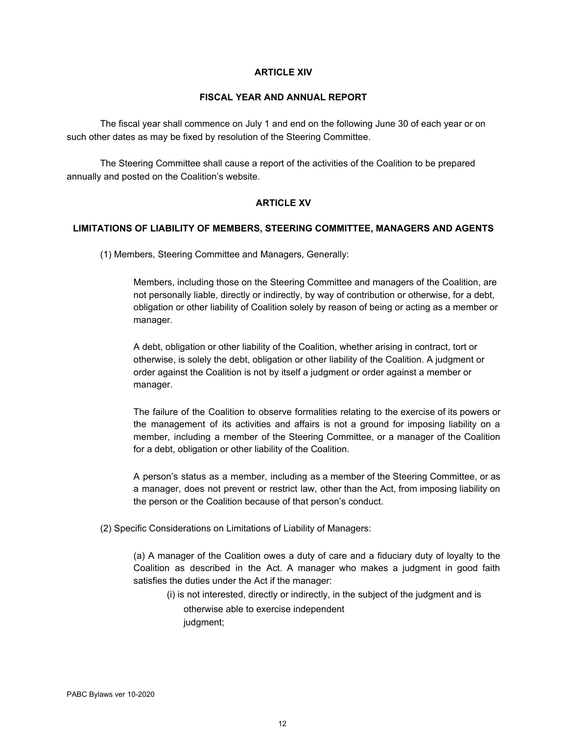## **ARTICLE XIV**

## **FISCAL YEAR AND ANNUAL REPORT**

The fiscal year shall commence on July 1 and end on the following June 30 of each year or on such other dates as may be fixed by resolution of the Steering Committee.

The Steering Committee shall cause a report of the activities of the Coalition to be prepared annually and posted on the Coalition's website.

# **ARTICLE XV**

## **LIMITATIONS OF LIABILITY OF MEMBERS, STEERING COMMITTEE, MANAGERS AND AGENTS**

(1) Members, Steering Committee and Managers, Generally:

Members, including those on the Steering Committee and managers of the Coalition, are not personally liable, directly or indirectly, by way of contribution or otherwise, for a debt, obligation or other liability of Coalition solely by reason of being or acting as a member or manager.

A debt, obligation or other liability of the Coalition, whether arising in contract, tort or otherwise, is solely the debt, obligation or other liability of the Coalition. A judgment or order against the Coalition is not by itself a judgment or order against a member or manager.

The failure of the Coalition to observe formalities relating to the exercise of its powers or the management of its activities and affairs is not a ground for imposing liability on a member, including a member of the Steering Committee, or a manager of the Coalition for a debt, obligation or other liability of the Coalition.

A person's status as a member, including as a member of the Steering Committee, or as a manager, does not prevent or restrict law, other than the Act, from imposing liability on the person or the Coalition because of that person's conduct.

(2) Specific Considerations on Limitations of Liability of Managers:

(a) A manager of the Coalition owes a duty of care and a fiduciary duty of loyalty to the Coalition as described in the Act. A manager who makes a judgment in good faith satisfies the duties under the Act if the manager:

(i) is not interested, directly or indirectly, in the subject of the judgment and is otherwise able to exercise independent judgment;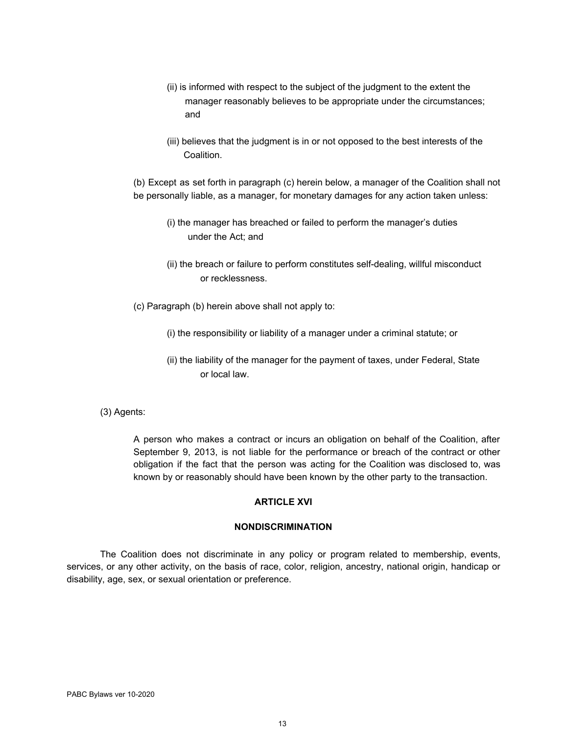- (ii) is informed with respect to the subject of the judgment to the extent the manager reasonably believes to be appropriate under the circumstances; and
- (iii) believes that the judgment is in or not opposed to the best interests of the Coalition.

(b) Except as set forth in paragraph (c) herein below, a manager of the Coalition shall not be personally liable, as a manager, for monetary damages for any action taken unless:

- (i) the manager has breached or failed to perform the manager's duties under the Act; and
- (ii) the breach or failure to perform constitutes self-dealing, willful misconduct or recklessness.
- (c) Paragraph (b) herein above shall not apply to:
	- (i) the responsibility or liability of a manager under a criminal statute; or
	- (ii) the liability of the manager for the payment of taxes, under Federal, State or local law.
- (3) Agents:

A person who makes a contract or incurs an obligation on behalf of the Coalition, after September 9, 2013, is not liable for the performance or breach of the contract or other obligation if the fact that the person was acting for the Coalition was disclosed to, was known by or reasonably should have been known by the other party to the transaction.

### **ARTICLE XVI**

## **NONDISCRIMINATION**

The Coalition does not discriminate in any policy or program related to membership, events, services, or any other activity, on the basis of race, color, religion, ancestry, national origin, handicap or disability, age, sex, or sexual orientation or preference.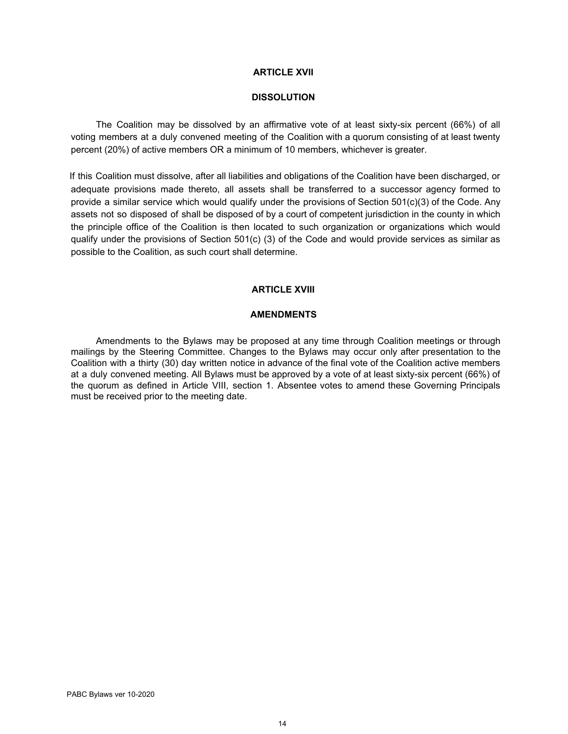## **ARTICLE XVII**

## **DISSOLUTION**

The Coalition may be dissolved by an affirmative vote of at least sixty-six percent (66%) of all voting members at a duly convened meeting of the Coalition with a quorum consisting of at least twenty percent (20%) of active members OR a minimum of 10 members, whichever is greater.

If this Coalition must dissolve, after all liabilities and obligations of the Coalition have been discharged, or adequate provisions made thereto, all assets shall be transferred to a successor agency formed to provide a similar service which would qualify under the provisions of Section 501(c)(3) of the Code. Any assets not so disposed of shall be disposed of by a court of competent jurisdiction in the county in which the principle office of the Coalition is then located to such organization or organizations which would qualify under the provisions of Section 501(c) (3) of the Code and would provide services as similar as possible to the Coalition, as such court shall determine.

#### **ARTICLE XVIII**

#### **AMENDMENTS**

Amendments to the Bylaws may be proposed at any time through Coalition meetings or through mailings by the Steering Committee. Changes to the Bylaws may occur only after presentation to the Coalition with a thirty (30) day written notice in advance of the final vote of the Coalition active members at a duly convened meeting. All Bylaws must be approved by a vote of at least sixty-six percent (66%) of the quorum as defined in Article VIII, section 1. Absentee votes to amend these Governing Principals must be received prior to the meeting date.